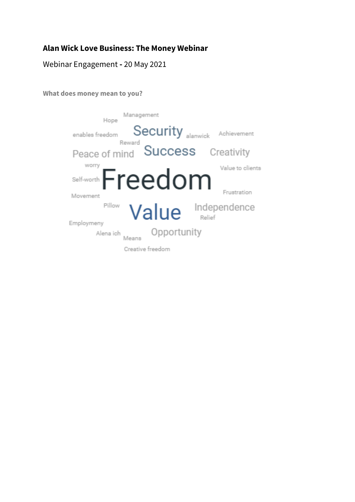## **Alan Wick Love Business: The Money Webinar**

## Webinar Engagement **-** 20 May 2021

## **What does money mean to you?**

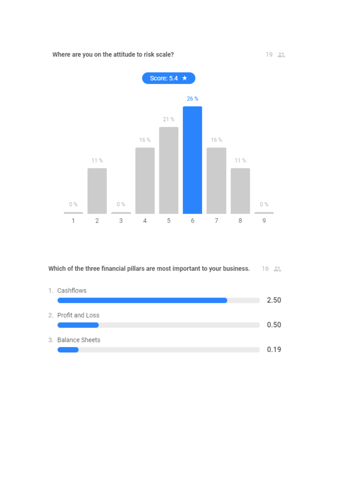

Which of the three financial pillars are most important to your business. 16

| 1. Cashflows       |      |
|--------------------|------|
|                    | 2.50 |
| 2. Profit and Loss |      |
|                    | 0.50 |
| 3. Balance Sheets  |      |
|                    | 0.19 |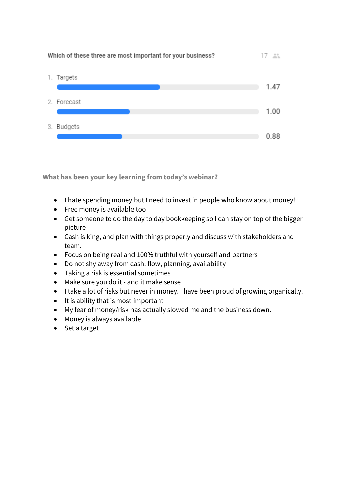

**What has been your key learning from today's webinar?**

- I hate spending money but I need to invest in people who know about money!
- Free money is available too
- Get someone to do the day to day bookkeeping so I can stay on top of the bigger picture
- Cash is king, and plan with things properly and discuss with stakeholders and team.
- Focus on being real and 100% truthful with yourself and partners
- Do not shy away from cash: flow, planning, availability
- Taking a risk is essential sometimes
- Make sure you do it and it make sense
- I take a lot of risks but never in money. I have been proud of growing organically.
- It is ability that is most important
- My fear of money/risk has actually slowed me and the business down.
- Money is always available
- Set a target